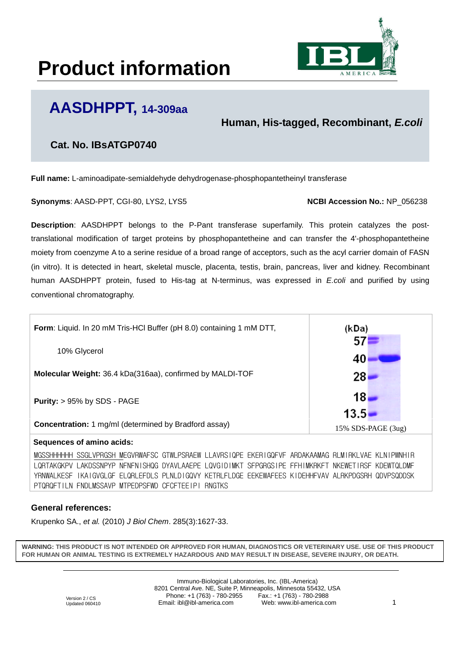# **Product information**



## **AASDHPPT, 14-309aa**

**Human, His-tagged, Recombinant,** *E.coli*

### **Cat. No. IBsATGP0740**

**Full name:** L-aminoadipate-semialdehyde dehydrogenase-phosphopantetheinyl transferase

**Synonyms: AASD-PPT, CGI-80, LYS2, LYS5 <b>NODIACCOLL ACCESSION NO.:** NP\_056238

**Description**: AASDHPPT belongs to the P-Pant transferase superfamily. This protein catalyzes the posttranslational modification of target proteins by phosphopantetheine and can transfer the 4'-phosphopantetheine moiety from coenzyme A to a serine residue of a broad range of acceptors, such as the acyl carrier domain of FASN (in vitro). It is detected in heart, skeletal muscle, placenta, testis, brain, pancreas, liver and kidney. Recombinant human AASDHPPT protein, fused to His-tag at N-terminus, was expressed in *E.coli* and purified by using conventional chromatography.



#### **Sequences of amino acids:**

MGSSHHHHHH SSGLVPRGSH MEGVRWAFSC GTWLPSRAEW LLAVRSIQPE EKERIGQFVF ARDAKAAMAG RLMIRKLVAE KLNIPWNHIR LQRTAKGKPV LAKDSSNPYP NFNFNISHQG DYAVLAAEPE LQVGIDIMKT SFPGRGSIPE FFHIMKRKFT NKEWETIRSF KDEWTQLDMF YRNWALKESF IKAIGVGLGF ELQRLEFDLS PLNLDIGQVY KETRLFLDGE EEKEWAFEES KIDEHHFVAV ALRKPDGSRH QDVPSQDDSK PTQRQFTILN FNDLMSSAVP MTPEDPSFWD CFCFTEEIPI RNGTKS

### **General references:**

Krupenko SA., *et al.* (2010) *J Biol Chem*. 285(3):1627-33.

**WARNING: THIS PRODUCT IS NOT INTENDED OR APPROVED FOR HUMAN, DIAGNOSTICS OR VETERINARY USE. USE OF THIS PRODUCT FOR HUMAN OR ANIMAL TESTING IS EXTREMELY HAZARDOUS AND MAY RESULT IN DISEASE, SEVERE INJURY, OR DEATH.**

> Immuno-Biological Laboratories, Inc. (IBL-America) 8201 Central Ave. NE, Suite P, Minneapolis, Minnesota 55432, USA Phone: +1 (763) - 780-2955 Fax.: +1 (763) - 780-2988 Email: ibl@ibl-america.com Web: www.ibl-america.com 1